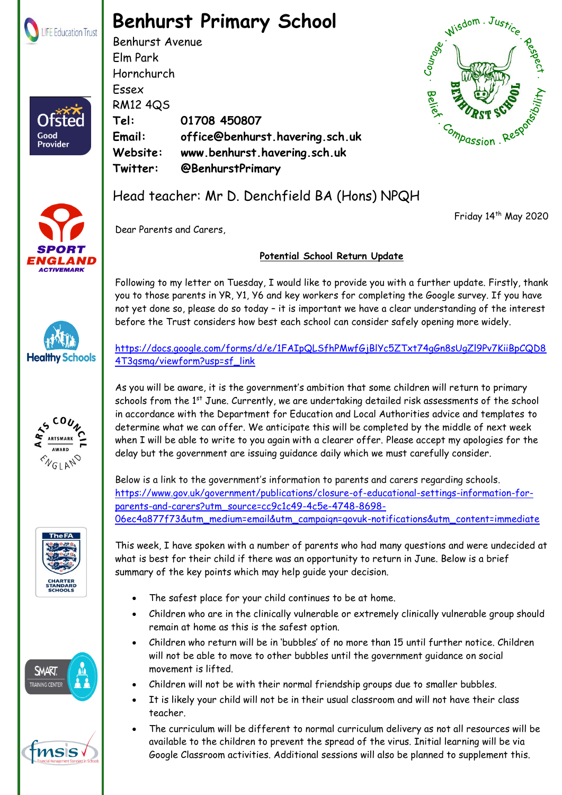

Ofstec

Good **Provider** 

## **Benhurst Primary School**

Benhurst Avenue Elm Park Hornchurch Essex RM12 4QS **Tel: 01708 450807 Email: office@benhurst.havering.sch.uk Website: www.benhurst.havering.sch.uk Twitter: @BenhurstPrimary** Hornchurch<br>
Essex<br>
RM12 4Q5<br>
Tel: 01708 450807<br>
Email: office@benhurst.havering.sch.uk<br>
Website: www.benhurst.havering.sch.uk<br>
Twitter: @BenhurstPrimary<br>
Head teacher: Mr D. Denchfield BA (Hons) NPQH



Friday 14<sup>th</sup> May 2020



Dear Parents and Carers,

## **Potential School Return Update**

Following to my letter on Tuesday, I would like to provide you with a further update. Firstly, thank you to those parents in YR, Y1, Y6 and key workers for completing the Google survey. If you have not yet done so, please do so today – it is important we have a clear understanding of the interest before the Trust considers how best each school can consider safely opening more widely.

[https://docs.google.com/forms/d/e/1FAIpQLSfhPMwfGjBlYc5ZTxt74gGn8sUgZl9Pv7KiiBpCQD8](https://docs.google.com/forms/d/e/1FAIpQLSfhPMwfGjBlYc5ZTxt74gGn8sUgZl9Pv7KiiBpCQD84T3qsmg/viewform?usp=sf_link) [4T3qsmg/viewform?usp=sf\\_link](https://docs.google.com/forms/d/e/1FAIpQLSfhPMwfGjBlYc5ZTxt74gGn8sUgZl9Pv7KiiBpCQD84T3qsmg/viewform?usp=sf_link)

As you will be aware, it is the government's ambition that some children will return to primary schools from the 1<sup>st</sup> June. Currently, we are undertaking detailed risk assessments of the school in accordance with the Department for Education and Local Authorities advice and templates to determine what we can offer. We anticipate this will be completed by the middle of next week when I will be able to write to you again with a clearer offer. Please accept my apologies for the delay but the government are issuing guidance daily which we must carefully consider.

Below is a link to the government's information to parents and carers regarding schools. [https://www.gov.uk/government/publications/closure-of-educational-settings-information-for](https://www.gov.uk/government/publications/closure-of-educational-settings-information-for-parents-and-carers?utm_source=cc9c1c49-4c5e-4748-8698-06ec4a877f73&utm_medium=email&utm_campaign=govuk-notifications&utm_content=immediate)[parents-and-carers?utm\\_source=cc9c1c49-4c5e-4748-8698-](https://www.gov.uk/government/publications/closure-of-educational-settings-information-for-parents-and-carers?utm_source=cc9c1c49-4c5e-4748-8698-06ec4a877f73&utm_medium=email&utm_campaign=govuk-notifications&utm_content=immediate) [06ec4a877f73&utm\\_medium=email&utm\\_campaign=govuk-notifications&utm\\_content=immediate](https://www.gov.uk/government/publications/closure-of-educational-settings-information-for-parents-and-carers?utm_source=cc9c1c49-4c5e-4748-8698-06ec4a877f73&utm_medium=email&utm_campaign=govuk-notifications&utm_content=immediate)

This week, I have spoken with a number of parents who had many questions and were undecided at what is best for their child if there was an opportunity to return in June. Below is a brief summary of the key points which may help guide your decision.

- The safest place for your child continues to be at home.
- Children who are in the clinically vulnerable or extremely clinically vulnerable group should remain at home as this is the safest option.
- Children who return will be in 'bubbles' of no more than 15 until further notice. Children will not be able to move to other bubbles until the government guidance on social movement is lifted.
- Children will not be with their normal friendship groups due to smaller bubbles.
- It is likely your child will not be in their usual classroom and will not have their class teacher.
- $\mathbb{R}$  shown  $\mathbb{R}$  education Trust. Registered in England  $\mathbb{R}$  $\mathcal{L}$  Google Classroom activities. Additional sessions will also be planned to supplement this. The curriculum will be different to normal curriculum delivery as not all resources will be available to the children to prevent the spread of the virus. Initial learning will be via